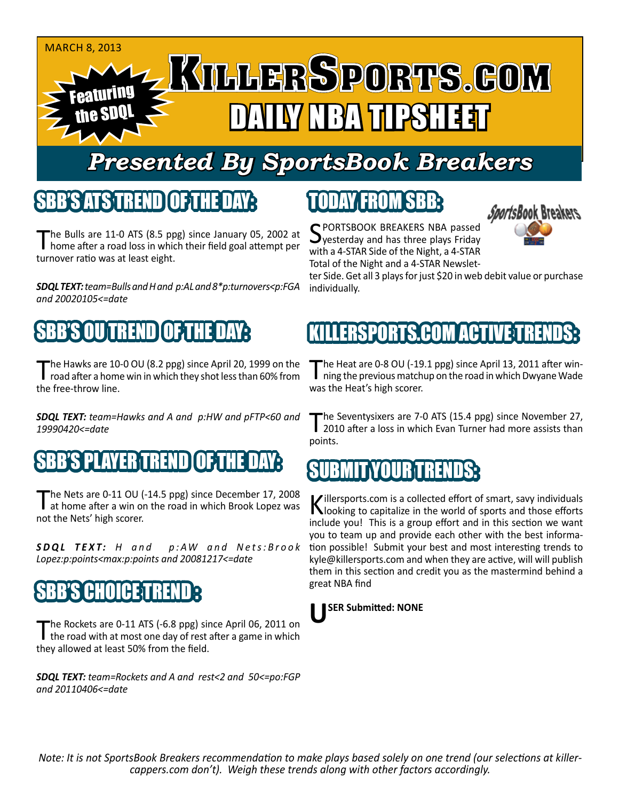#### MARCH 8, 2013 Featuring the SDQL TAY NBA TIPSHEET

## *Presented By SportsBook Breakers*

## SBB'S ATSTREND

The Bulls are 11-0 ATS (8.5 ppg) since January 05, 2002 at home after a road loss in which their field goal attempt per turnover ratio was at least eight.

*SDQL TEXT: team=Bulls and H and p:AL and 8\*p:turnovers<p:FGA and 20020105<=date*

## SBB'S OU TREND OF THE DAY:

The Hawks are 10-0 OU (8.2 ppg) since April 20, 1999 on the<br>road after a home win in which they shot less than 60% from the free-throw line.

*SDQL TEXT: team=Hawks and A and p:HW and pFTP<60 and 19990420<=date*

#### S PLAYER TREN

The Nets are 0-11 OU (-14.5 ppg) since December 17, 2008<br>at home after a win on the road in which Brook Lopez was not the Nets' high scorer.

**SDQL TEXT:** *H* and p:AW and Nets: Brook *Lopez:p:points<max:p:points and 20081217<=date*

## **SBB'S CHOICET**

The Rockets are 0-11 ATS (-6.8 ppg) since April 06, 2011 on<br>the road with at most one day of rest after a game in which they allowed at least 50% from the field.

*SDQL TEXT: team=Rockets and A and rest<2 and 50<=po:FGP and 20110406<=date*

## TODAY FROM SBB:

SPORTSBOOK BREAKERS NBA passed<br>
yesterday and has three plays Friday with a 4-STAR Side of the Night, a 4-STAR Total of the Night and a 4-STAR Newslet-

*vortsBook Breakers*.

ter Side. Get all 3 plays for just \$20 in web debit value or purchase individually.

### KILLERSPORTS.COM ACTIVE TRENDS:

The Heat are 0-8 OU (-19.1 ppg) since April 13, 2011 after win-<br>ning the previous matchup on the road in which Dwyane Wade was the Heat's high scorer.

The Seventysixers are 7-0 ATS (15.4 ppg) since November 27,<br>2010 after a loss in which Evan Turner had more assists than points.

#### **SUBMIT YOU RENDER**

Killersports.com is a collected effort of smart, savy individuals<br>Nooking to capitalize in the world of sports and those efforts include you! This is a group effort and in this section we want you to team up and provide each other with the best information possible! Submit your best and most interesting trends to kyle@killersports.com and when they are active, will will publish them in this section and credit you as the mastermind behind a great NBA find

#### **USER Submitted: NONE**

*Note: It is not SportsBook Breakers recommendation to make plays based solely on one trend (our selections at killercappers.com don't). Weigh these trends along with other factors accordingly.*